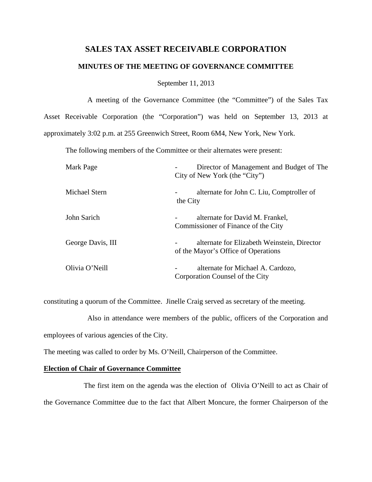# **SALES TAX ASSET RECEIVABLE CORPORATION**

### **MINUTES OF THE MEETING OF GOVERNANCE COMMITTEE**

September 11, 2013

 A meeting of the Governance Committee (the "Committee") of the Sales Tax Asset Receivable Corporation (the "Corporation") was held on September 13, 2013 at approximately 3:02 p.m. at 255 Greenwich Street, Room 6M4, New York, New York.

The following members of the Committee or their alternates were present:

| Mark Page            | Director of Management and Budget of The<br>City of New York (the "City")             |
|----------------------|---------------------------------------------------------------------------------------|
| <b>Michael Stern</b> | alternate for John C. Liu, Comptroller of<br>$\qquad \qquad \blacksquare$<br>the City |
| John Sarich          | alternate for David M. Frankel,<br>Commissioner of Finance of the City                |
| George Davis, III    | alternate for Elizabeth Weinstein, Director<br>of the Mayor's Office of Operations    |
| Olivia O'Neill       | alternate for Michael A. Cardozo,<br>-<br>Corporation Counsel of the City             |

constituting a quorum of the Committee. Jinelle Craig served as secretary of the meeting.

 Also in attendance were members of the public, officers of the Corporation and employees of various agencies of the City.

The meeting was called to order by Ms. O'Neill, Chairperson of the Committee.

## **Election of Chair of Governance Committee**

 The first item on the agenda was the election of Olivia O'Neill to act as Chair of the Governance Committee due to the fact that Albert Moncure, the former Chairperson of the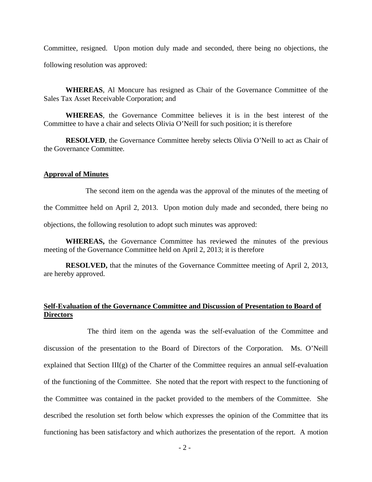Committee, resigned. Upon motion duly made and seconded, there being no objections, the following resolution was approved:

 **WHEREAS**, Al Moncure has resigned as Chair of the Governance Committee of the Sales Tax Asset Receivable Corporation; and

**WHEREAS**, the Governance Committee believes it is in the best interest of the Committee to have a chair and selects Olivia O'Neill for such position; it is therefore

**RESOLVED**, the Governance Committee hereby selects Olivia O'Neill to act as Chair of the Governance Committee.

### **Approval of Minutes**

The second item on the agenda was the approval of the minutes of the meeting of

the Committee held on April 2, 2013. Upon motion duly made and seconded, there being no

objections, the following resolution to adopt such minutes was approved:

 **WHEREAS,** the Governance Committee has reviewed the minutes of the previous meeting of the Governance Committee held on April 2, 2013; it is therefore

**RESOLVED,** that the minutes of the Governance Committee meeting of April 2, 2013, are hereby approved.

# **Self-Evaluation of the Governance Committee and Discussion of Presentation to Board of Directors**

 The third item on the agenda was the self-evaluation of the Committee and discussion of the presentation to the Board of Directors of the Corporation. Ms. O'Neill explained that Section III(g) of the Charter of the Committee requires an annual self-evaluation of the functioning of the Committee. She noted that the report with respect to the functioning of the Committee was contained in the packet provided to the members of the Committee. She described the resolution set forth below which expresses the opinion of the Committee that its functioning has been satisfactory and which authorizes the presentation of the report. A motion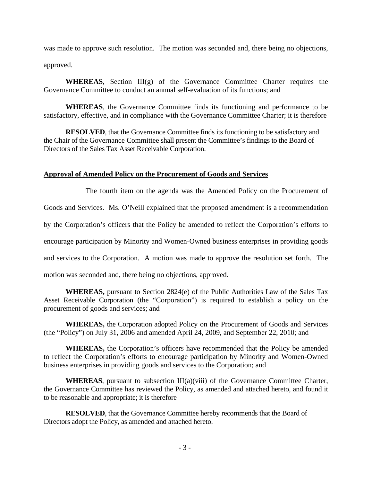was made to approve such resolution. The motion was seconded and, there being no objections, approved.

WHEREAS, Section III(g) of the Governance Committee Charter requires the Governance Committee to conduct an annual self-evaluation of its functions; and

**WHEREAS**, the Governance Committee finds its functioning and performance to be satisfactory, effective, and in compliance with the Governance Committee Charter; it is therefore

**RESOLVED**, that the Governance Committee finds its functioning to be satisfactory and the Chair of the Governance Committee shall present the Committee's findings to the Board of Directors of the Sales Tax Asset Receivable Corporation.

# **Approval of Amended Policy on the Procurement of Goods and Services**

 The fourth item on the agenda was the Amended Policy on the Procurement of Goods and Services. Ms. O'Neill explained that the proposed amendment is a recommendation by the Corporation's officers that the Policy be amended to reflect the Corporation's efforts to encourage participation by Minority and Women-Owned business enterprises in providing goods and services to the Corporation. A motion was made to approve the resolution set forth. The motion was seconded and, there being no objections, approved.

 **WHEREAS,** pursuant to Section 2824(e) of the Public Authorities Law of the Sales Tax Asset Receivable Corporation (the "Corporation") is required to establish a policy on the procurement of goods and services; and

 **WHEREAS,** the Corporation adopted Policy on the Procurement of Goods and Services (the "Policy") on July 31, 2006 and amended April 24, 2009, and September 22, 2010; and

**WHEREAS,** the Corporation's officers have recommended that the Policy be amended to reflect the Corporation's efforts to encourage participation by Minority and Women-Owned business enterprises in providing goods and services to the Corporation; and

**WHEREAS**, pursuant to subsection III(a)(viii) of the Governance Committee Charter, the Governance Committee has reviewed the Policy, as amended and attached hereto, and found it to be reasonable and appropriate; it is therefore

**RESOLVED**, that the Governance Committee hereby recommends that the Board of Directors adopt the Policy, as amended and attached hereto.